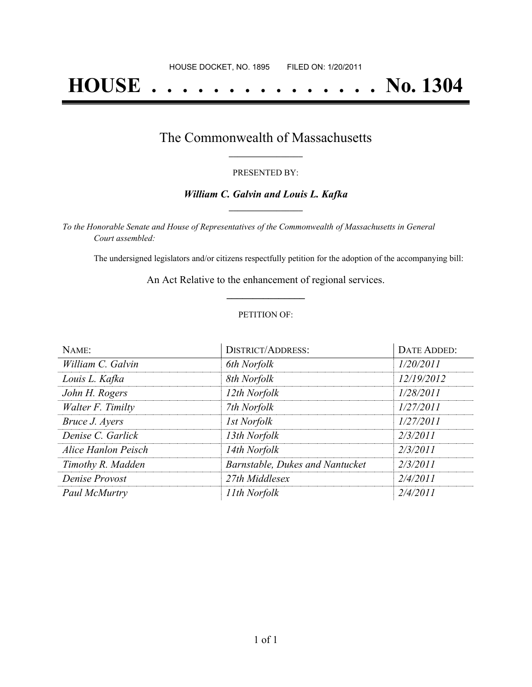# **HOUSE . . . . . . . . . . . . . . . No. 1304**

## The Commonwealth of Massachusetts **\_\_\_\_\_\_\_\_\_\_\_\_\_\_\_\_\_**

#### PRESENTED BY:

#### *William C. Galvin and Louis L. Kafka* **\_\_\_\_\_\_\_\_\_\_\_\_\_\_\_\_\_**

*To the Honorable Senate and House of Representatives of the Commonwealth of Massachusetts in General Court assembled:*

The undersigned legislators and/or citizens respectfully petition for the adoption of the accompanying bill:

An Act Relative to the enhancement of regional services. **\_\_\_\_\_\_\_\_\_\_\_\_\_\_\_**

#### PETITION OF:

| NAME:               | DISTRICT/ADDRESS:               | <b>DATE ADDED:</b> |
|---------------------|---------------------------------|--------------------|
| William C. Galvin   | 6th Norfolk                     | 1/20/2011          |
| Louis L. Kafka      | 8th Norfolk                     | 12/19/2012         |
| John H. Rogers      | 12th Norfolk                    | 1/28/2011          |
| Walter F. Timilty   | 7th Norfolk                     | 1/27/2011          |
| Bruce J. Ayers      | <b>Ist Norfolk</b>              | 1/27/2011          |
| Denise C. Garlick   | 13th Norfolk                    | 2/3/2011           |
| Alice Hanlon Peisch | 14th Norfolk                    | 2/3/2011           |
| Timothy R. Madden   | Barnstable, Dukes and Nantucket | 2/3/2011           |
| Denise Provost      | 27th Middlesex                  | 2/4/2011           |
| Paul McMurtry       | 11th Norfolk                    | 2/4/2011           |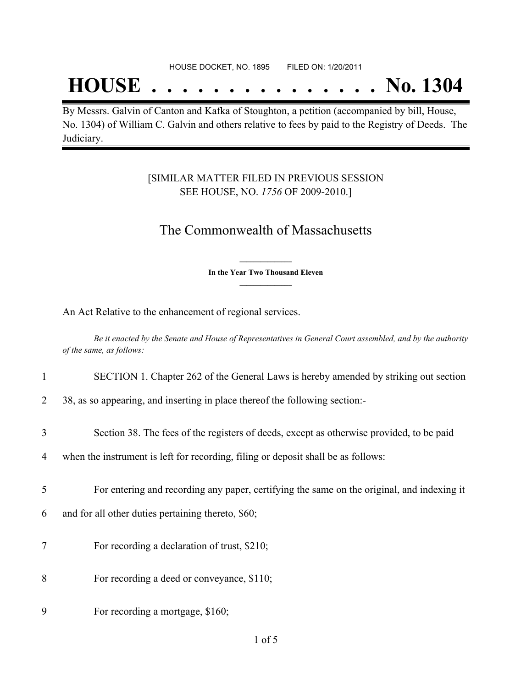## **HOUSE . . . . . . . . . . . . . . . No. 1304**

By Messrs. Galvin of Canton and Kafka of Stoughton, a petition (accompanied by bill, House, No. 1304) of William C. Galvin and others relative to fees by paid to the Registry of Deeds. The Judiciary.

### [SIMILAR MATTER FILED IN PREVIOUS SESSION SEE HOUSE, NO. *1756* OF 2009-2010.]

## The Commonwealth of Massachusetts

**\_\_\_\_\_\_\_\_\_\_\_\_\_\_\_ In the Year Two Thousand Eleven \_\_\_\_\_\_\_\_\_\_\_\_\_\_\_**

An Act Relative to the enhancement of regional services.

Be it enacted by the Senate and House of Representatives in General Court assembled, and by the authority *of the same, as follows:*

| $\mathbf{1}$ | SECTION 1. Chapter 262 of the General Laws is hereby amended by striking out section       |
|--------------|--------------------------------------------------------------------------------------------|
| 2            | 38, as so appearing, and inserting in place thereof the following section:                 |
| 3            | Section 38. The fees of the registers of deeds, except as otherwise provided, to be paid   |
| 4            | when the instrument is left for recording, filing or deposit shall be as follows:          |
| 5            | For entering and recording any paper, certifying the same on the original, and indexing it |
| 6            | and for all other duties pertaining thereto, \$60;                                         |
| 7            | For recording a declaration of trust, \$210;                                               |
| 8            | For recording a deed or conveyance, \$110;                                                 |
| 9            | For recording a mortgage, \$160;                                                           |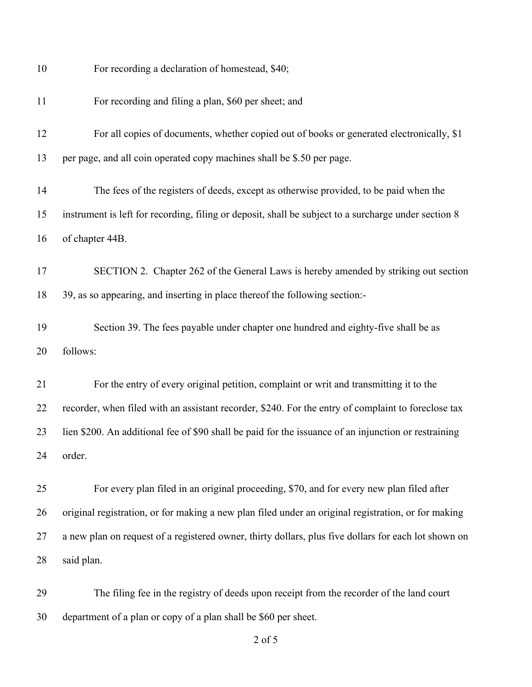| 10 | For recording a declaration of homestead, \$40;                                                      |
|----|------------------------------------------------------------------------------------------------------|
| 11 | For recording and filing a plan, \$60 per sheet; and                                                 |
| 12 | For all copies of documents, whether copied out of books or generated electronically, \$1            |
| 13 | per page, and all coin operated copy machines shall be \$.50 per page.                               |
| 14 | The fees of the registers of deeds, except as otherwise provided, to be paid when the                |
| 15 | instrument is left for recording, filing or deposit, shall be subject to a surcharge under section 8 |
| 16 | of chapter 44B.                                                                                      |
| 17 | SECTION 2. Chapter 262 of the General Laws is hereby amended by striking out section                 |
| 18 | 39, as so appearing, and inserting in place thereof the following section:-                          |
| 19 | Section 39. The fees payable under chapter one hundred and eighty-five shall be as                   |
| 20 | follows:                                                                                             |
| 21 | For the entry of every original petition, complaint or writ and transmitting it to the               |
| 22 | recorder, when filed with an assistant recorder, \$240. For the entry of complaint to foreclose tax  |
| 23 | lien \$200. An additional fee of \$90 shall be paid for the issuance of an injunction or restraining |
| 24 | order.                                                                                               |
| 25 | For every plan filed in an original proceeding, \$70, and for every new plan filed after             |
| 26 | original registration, or for making a new plan filed under an original registration, or for making  |
| 27 | a new plan on request of a registered owner, thirty dollars, plus five dollars for each lot shown on |
| 28 | said plan.                                                                                           |
| 29 | The filing fee in the registry of deeds upon receipt from the recorder of the land court             |
| 30 | department of a plan or copy of a plan shall be \$60 per sheet.                                      |

of 5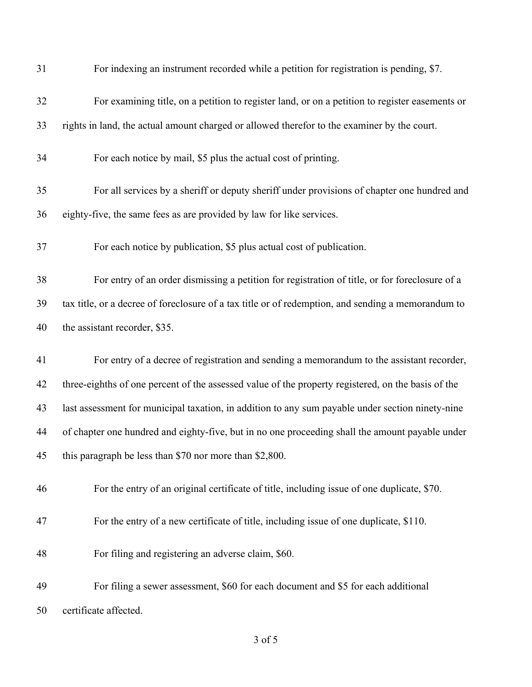| 31 | For indexing an instrument recorded while a petition for registration is pending, \$7.             |
|----|----------------------------------------------------------------------------------------------------|
| 32 | For examining title, on a petition to register land, or on a petition to register easements or     |
| 33 | rights in land, the actual amount charged or allowed therefor to the examiner by the court.        |
| 34 | For each notice by mail, \$5 plus the actual cost of printing.                                     |
| 35 | For all services by a sheriff or deputy sheriff under provisions of chapter one hundred and        |
| 36 | eighty-five, the same fees as are provided by law for like services.                               |
| 37 | For each notice by publication, \$5 plus actual cost of publication.                               |
| 38 | For entry of an order dismissing a petition for registration of title, or for foreclosure of a     |
| 39 | tax title, or a decree of foreclosure of a tax title or of redemption, and sending a memorandum to |
| 40 | the assistant recorder, \$35.                                                                      |
| 41 | For entry of a decree of registration and sending a memorandum to the assistant recorder,          |
| 42 | three-eighths of one percent of the assessed value of the property registered, on the basis of the |
| 43 | last assessment for municipal taxation, in addition to any sum payable under section ninety-nine   |
| 44 | of chapter one hundred and eighty-five, but in no one proceeding shall the amount payable under    |
| 45 | this paragraph be less than \$70 nor more than \$2,800.                                            |
| 46 | For the entry of an original certificate of title, including issue of one duplicate, \$70.         |
| 47 | For the entry of a new certificate of title, including issue of one duplicate, \$110.              |
| 48 | For filing and registering an adverse claim, \$60.                                                 |
| 49 | For filing a sewer assessment, \$60 for each document and \$5 for each additional                  |
| 50 | certificate affected.                                                                              |

of 5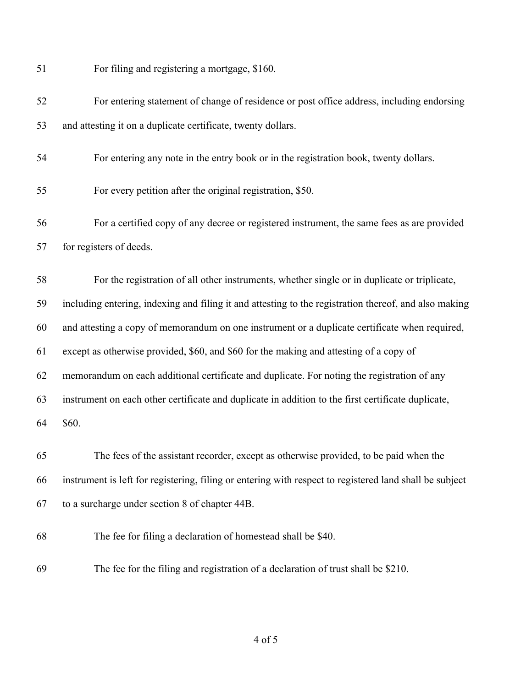| 51 | For filing and registering a mortgage, \$160.                                                           |
|----|---------------------------------------------------------------------------------------------------------|
| 52 | For entering statement of change of residence or post office address, including endorsing               |
| 53 | and attesting it on a duplicate certificate, twenty dollars.                                            |
| 54 | For entering any note in the entry book or in the registration book, twenty dollars.                    |
| 55 | For every petition after the original registration, \$50.                                               |
| 56 | For a certified copy of any decree or registered instrument, the same fees as are provided              |
| 57 | for registers of deeds.                                                                                 |
| 58 | For the registration of all other instruments, whether single or in duplicate or triplicate,            |
| 59 | including entering, indexing and filing it and attesting to the registration thereof, and also making   |
| 60 | and attesting a copy of memorandum on one instrument or a duplicate certificate when required,          |
| 61 | except as otherwise provided, \$60, and \$60 for the making and attesting of a copy of                  |
| 62 | memorandum on each additional certificate and duplicate. For noting the registration of any             |
| 63 | instrument on each other certificate and duplicate in addition to the first certificate duplicate,      |
| 64 | \$60.                                                                                                   |
| 65 | The fees of the assistant recorder, except as otherwise provided, to be paid when the                   |
| 66 | instrument is left for registering, filing or entering with respect to registered land shall be subject |
| 67 | to a surcharge under section 8 of chapter 44B.                                                          |
| 68 | The fee for filing a declaration of homestead shall be \$40.                                            |
| 69 | The fee for the filing and registration of a declaration of trust shall be \$210.                       |

of 5